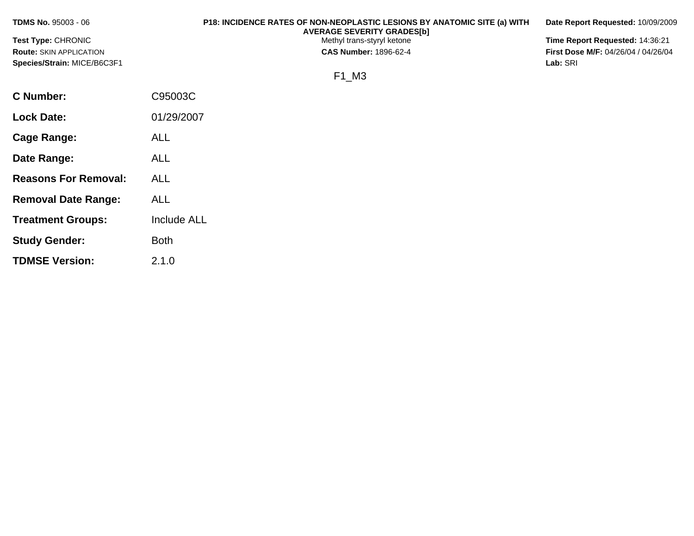| <b>TDMS No. 95003 - 06</b>     | P18: INCIDENCE RATES OF NON-NEOPLASTIC LESIONS BY ANATOMIC SITE (a) WITH<br><b>AVERAGE SEVERITY GRADES[b]</b> | Date Report Requested: 10/09/2009          |
|--------------------------------|---------------------------------------------------------------------------------------------------------------|--------------------------------------------|
| <b>Test Type: CHRONIC</b>      | Methyl trans-styryl ketone                                                                                    | Time Report Requested: 14:36:21            |
| <b>Route: SKIN APPLICATION</b> | <b>CAS Number: 1896-62-4</b>                                                                                  | <b>First Dose M/F: 04/26/04 / 04/26/04</b> |
| Species/Strain: MICE/B6C3F1    |                                                                                                               | Lab: SRI                                   |
|                                | F1 M3                                                                                                         |                                            |
| C Number:                      | C95003C                                                                                                       |                                            |
| <b>Lock Date:</b>              | 01/29/2007                                                                                                    |                                            |

**Cage Range:** ALL

**Date Range:** ALL

**Reasons For Removal:** ALL

**Removal Date Range:** ALL

**Study Gender:** Both

**TDMSE Version:** 2.1.0

**Treatment Groups:** Include ALL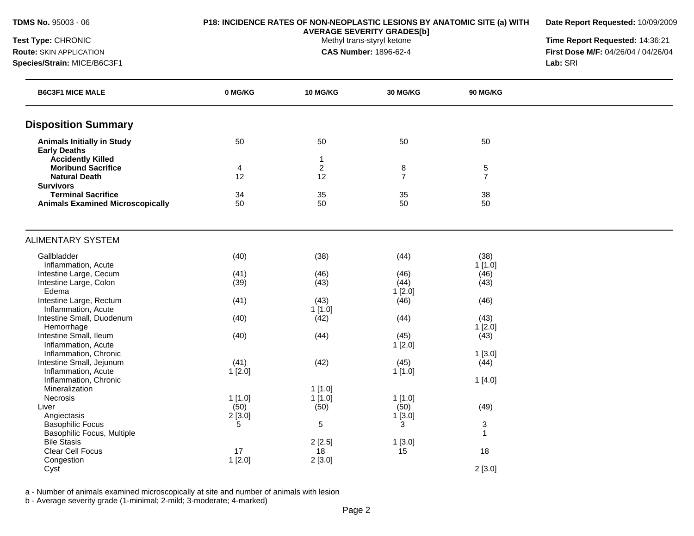**Date Report Requested:** 10/09/2009

**AVERAGE SEVERITY GRADES[b]**

**Test Type:** CHRONIC **The Report Requested:** 14:36:21 **Route:** SKIN APPLICATION **CAS Number:** 1896-62-4 **First Dose M/F:** 04/26/04 / 04/26/04 **Species/Strain:** MICE/B6C3F1 **Lab:** SRI

| <b>B6C3F1 MICE MALE</b>                                  | 0 MG/KG | <b>10 MG/KG</b> | <b>30 MG/KG</b> | <b>90 MG/KG</b> |  |
|----------------------------------------------------------|---------|-----------------|-----------------|-----------------|--|
| <b>Disposition Summary</b>                               |         |                 |                 |                 |  |
| <b>Animals Initially in Study</b><br><b>Early Deaths</b> | 50      | 50              | 50              | 50              |  |
| <b>Accidently Killed</b>                                 |         | -1              |                 |                 |  |
| <b>Moribund Sacrifice</b>                                | 4       | $\sqrt{2}$      | 8               | 5               |  |
| <b>Natural Death</b>                                     | 12      | 12              | $\overline{7}$  | $\overline{7}$  |  |
| <b>Survivors</b>                                         |         |                 |                 |                 |  |
| <b>Terminal Sacrifice</b>                                | 34      | 35              | 35              | 38              |  |
| <b>Animals Examined Microscopically</b>                  | 50      | 50              | 50              | 50              |  |
| <b>ALIMENTARY SYSTEM</b>                                 |         |                 |                 |                 |  |
| Gallbladder                                              | (40)    | (38)            | (44)            | (38)            |  |
| Inflammation, Acute                                      |         |                 |                 | 1[1.0]          |  |
| Intestine Large, Cecum                                   | (41)    | (46)            | (46)            | (46)            |  |
| Intestine Large, Colon                                   | (39)    | (43)            | (44)            | (43)            |  |
| Edema                                                    |         |                 | 1[2.0]          |                 |  |
| Intestine Large, Rectum                                  | (41)    | (43)            | (46)            | (46)            |  |
| Inflammation, Acute                                      |         | 1[1.0]          |                 |                 |  |
| Intestine Small, Duodenum                                | (40)    | (42)            | (44)            | (43)            |  |
| Hemorrhage                                               |         |                 |                 | 1[2.0]          |  |
| Intestine Small, Ileum                                   | (40)    | (44)            | (45)            | (43)            |  |
| Inflammation, Acute                                      |         |                 | 1[2.0]          |                 |  |
| Inflammation, Chronic                                    |         |                 |                 | 1[3.0]          |  |
| Intestine Small, Jejunum                                 | (41)    | (42)            | (45)            | (44)            |  |
| Inflammation, Acute<br>Inflammation, Chronic             | 1[2.0]  |                 | 1[1.0]          |                 |  |
| Mineralization                                           |         | 1[1.0]          |                 | 1[4.0]          |  |
| <b>Necrosis</b>                                          | 1[1.0]  | 1[1.0]          | 1[1.0]          |                 |  |
| Liver                                                    | (50)    | (50)            | (50)            | (49)            |  |
| Angiectasis                                              | 2[3.0]  |                 | $1$ [3.0]       |                 |  |
|                                                          |         |                 |                 |                 |  |

a - Number of animals examined microscopically at site and number of animals with lesion

Basophilic Focus 5 5 3 3

Clear Cell Focus 17 18 18<br>
Congestion 18 18 19 19 19 19 19 19 19 19 19 19 18 18

Cyst 2 [3.0]

Basophilic Focus, Multiple 2 [2.5] 1 [3.0] Bile Stasis 2 [2.5] 1 [3.0]

b - Average severity grade (1-minimal; 2-mild; 3-moderate; 4-marked)

Congestion<br>Cyst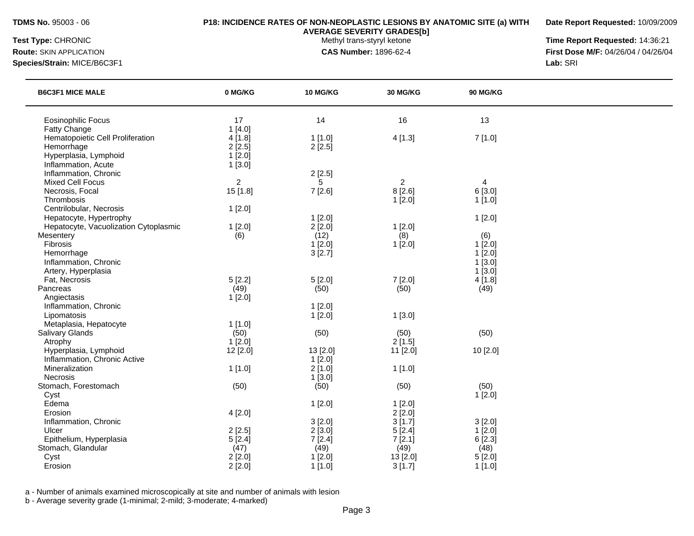**Date Report Requested:** 10/09/2009

**AVERAGE SEVERITY GRADES[b]**

**Test Type:** CHRONIC **The Report Requested:** 14:36:21 **Route:** SKIN APPLICATION **CAS Number:** 1896-62-4 **First Dose M/F:** 04/26/04 / 04/26/04 **Species/Strain:** MICE/B6C3F1 **Lab:** SRI

| <b>B6C3F1 MICE MALE</b>               | 0 MG/KG        | <b>10 MG/KG</b> | <b>30 MG/KG</b> | <b>90 MG/KG</b> |  |
|---------------------------------------|----------------|-----------------|-----------------|-----------------|--|
| <b>Eosinophilic Focus</b>             | 17             | 14              | 16              | 13              |  |
| Fatty Change                          | 1[4.0]         |                 |                 |                 |  |
| Hematopoietic Cell Proliferation      | 4[1.8]         | 1[1.0]          | 4[1.3]          | 7[1.0]          |  |
| Hemorrhage                            | 2[2.5]         | 2[2.5]          |                 |                 |  |
| Hyperplasia, Lymphoid                 | 1[2.0]         |                 |                 |                 |  |
| Inflammation, Acute                   | 1[3.0]         |                 |                 |                 |  |
| Inflammation, Chronic                 |                | 2[2.5]          |                 |                 |  |
| <b>Mixed Cell Focus</b>               | $\overline{2}$ | 5               | $\overline{2}$  | $\overline{4}$  |  |
| Necrosis, Focal                       | 15 [1.8]       | 7[2.6]          | 8[2.6]          | 6[3.0]          |  |
| Thrombosis                            |                |                 | 1[2.0]          | 1[1.0]          |  |
| Centrilobular, Necrosis               | 1[2.0]         |                 |                 |                 |  |
| Hepatocyte, Hypertrophy               |                | $1$ [2.0]       |                 | 1[2.0]          |  |
| Hepatocyte, Vacuolization Cytoplasmic | 1[2.0]         | 2[2.0]          | 1[2.0]          |                 |  |
| Mesentery                             | (6)            | (12)            | (8)             | (6)             |  |
| Fibrosis                              |                | 1[2.0]          | 1[2.0]          | 1[2.0]          |  |
| Hemorrhage                            |                | 3[2.7]          |                 | $1$ [2.0]       |  |
| Inflammation, Chronic                 |                |                 |                 | 1[3.0]          |  |
| Artery, Hyperplasia                   |                |                 |                 | 1[3.0]          |  |
| Fat, Necrosis                         | 5[2.2]         | 5[2.0]          | 7[2.0]          | 4[1.8]          |  |
| Pancreas                              | (49)           | (50)            | (50)            | (49)            |  |
| Angiectasis                           | 1[2.0]         |                 |                 |                 |  |
| Inflammation, Chronic                 |                | 1[2.0]          |                 |                 |  |
| Lipomatosis                           |                | 1[2.0]          | 1[3.0]          |                 |  |
| Metaplasia, Hepatocyte                | 1[1.0]         |                 |                 |                 |  |
| Salivary Glands                       | (50)           | (50)            | (50)            | (50)            |  |
| Atrophy                               | $1$ [2.0]      |                 | 2[1.5]          |                 |  |
| Hyperplasia, Lymphoid                 | 12 [2.0]       | 13 [2.0]        | 11 [2.0]        | 10 [2.0]        |  |
| Inflammation, Chronic Active          |                | 1[2.0]          |                 |                 |  |
| Mineralization                        | 1[1.0]         | 2[1.0]          | 1[1.0]          |                 |  |
| Necrosis                              |                | 1[3.0]          |                 |                 |  |
| Stomach, Forestomach                  | (50)           | (50)            | (50)            | (50)            |  |
| Cyst                                  |                |                 |                 | 1[2.0]          |  |
| Edema                                 |                | 1[2.0]          | 1[2.0]          |                 |  |
| Erosion                               | 4[2.0]         |                 | 2[2.0]          |                 |  |
| Inflammation, Chronic                 |                | 3[2.0]          | 3[1.7]          | 3[2.0]          |  |
| Ulcer                                 | 2[2.5]         | 2[3.0]          | 5[2.4]          | 1[2.0]          |  |
| Epithelium, Hyperplasia               | 5[2.4]         | 7[2.4]          | 7[2.1]          | 6[2.3]          |  |
| Stomach, Glandular                    | (47)           | (49)            | (49)            | (48)            |  |
| Cyst                                  | 2[2.0]         | 1[2.0]          | 13 [2.0]        | 5[2.0]          |  |
| Erosion                               | 2[2.0]         | 1[1.0]          | 3[1.7]          | 1[1.0]          |  |
|                                       |                |                 |                 |                 |  |

a - Number of animals examined microscopically at site and number of animals with lesion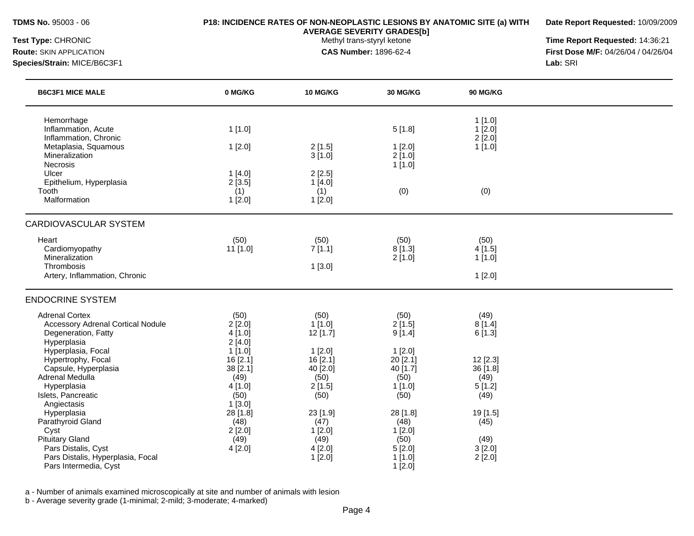**Date Report Requested:** 10/09/2009

**AVERAGE SEVERITY GRADES[b]**

**Test Type:** CHRONIC **The Report Requested:** 14:36:21 **Route:** SKIN APPLICATION **CAS Number:** 1896-62-4 **First Dose M/F:** 04/26/04 / 04/26/04 **Species/Strain:** MICE/B6C3F1 **Lab:** SRI

| 0 MG/KG          | <b>10 MG/KG</b>                                                                                                      | <b>30 MG/KG</b>                                                                                                         | <b>90 MG/KG</b>                                                                                 |                                                                                       |
|------------------|----------------------------------------------------------------------------------------------------------------------|-------------------------------------------------------------------------------------------------------------------------|-------------------------------------------------------------------------------------------------|---------------------------------------------------------------------------------------|
|                  |                                                                                                                      |                                                                                                                         |                                                                                                 |                                                                                       |
| 1[1.0]           |                                                                                                                      | 5[1.8]                                                                                                                  | 1[2.0]                                                                                          |                                                                                       |
|                  |                                                                                                                      |                                                                                                                         |                                                                                                 |                                                                                       |
|                  |                                                                                                                      |                                                                                                                         |                                                                                                 |                                                                                       |
|                  |                                                                                                                      |                                                                                                                         |                                                                                                 |                                                                                       |
|                  |                                                                                                                      |                                                                                                                         |                                                                                                 |                                                                                       |
|                  |                                                                                                                      |                                                                                                                         |                                                                                                 |                                                                                       |
|                  |                                                                                                                      |                                                                                                                         |                                                                                                 |                                                                                       |
|                  |                                                                                                                      |                                                                                                                         |                                                                                                 |                                                                                       |
| (50)<br>11 [1.0] | (50)<br>7[1.1]<br>1[3.0]                                                                                             | (50)<br>8[1.3]<br>2[1.0]                                                                                                | (50)<br>4[1.5]<br>1[1.0]<br>1[2.0]                                                              |                                                                                       |
|                  |                                                                                                                      |                                                                                                                         |                                                                                                 |                                                                                       |
|                  |                                                                                                                      |                                                                                                                         |                                                                                                 |                                                                                       |
|                  |                                                                                                                      |                                                                                                                         |                                                                                                 |                                                                                       |
|                  |                                                                                                                      |                                                                                                                         |                                                                                                 |                                                                                       |
|                  |                                                                                                                      |                                                                                                                         |                                                                                                 |                                                                                       |
|                  |                                                                                                                      |                                                                                                                         |                                                                                                 |                                                                                       |
|                  |                                                                                                                      |                                                                                                                         |                                                                                                 |                                                                                       |
|                  | 1[2.0]<br>1[4.0]<br>2[3.5]<br>(1)<br>1[2.0]<br>(50)<br>2[2.0]<br>4 [1.0]<br>2[4.0]<br>1[1.0]<br>16 [2.1]<br>38 [2.1] | 2[1.5]<br>3[1.0]<br>2[2.5]<br>1[4.0]<br>(1)<br>1[2.0]<br>(50)<br>1[1.0]<br>$12$ [1.7]<br>1[2.0]<br>16 [2.1]<br>40 [2.0] | 1[2.0]<br>2[1.0]<br>1[1.0]<br>(0)<br>(50)<br>2[1.5]<br>9[1.4]<br>1[2.0]<br>20 [2.1]<br>40 [1.7] | 1[1.0]<br>2[2.0]<br>1[1.0]<br>(0)<br>(49)<br>8[1.4]<br>6[1.3]<br>12 [2.3]<br>36 [1.8] |

Adrenal Medulla (49) (50) (50) (50) (50) (49) Hyperplasia 4 [1.0] 2 [1.5] 1 [1.0] 5 [1.2] Islets, Pancreatic **(50)** (50) (50) (50) (50) (50) (49)

Hyperplasia 28 [1.8] 23 [1.9] 28 [1.8] 19 [1.5] Parathyroid Gland (48) (48) (47) (48) (48) (45)<br>Cyst 2 [2.0] (12.0] (48) (48) (45)

Pituitary Gland (49) (49) (49) (49) (50) (49) (49) (50) (49) (49)<br>Pars Distalis, Cyst (50) (49) (50) (50) (50) (51) (51) (51) (49) (51) (49) (51) (51) (51) (51) (51) (51) (51)

Pars Distalis, Hyperplasia, Focal 1 and 1 and 2 [2.0] 1 [1.0] 2 [2.0]

Cyst 2 [2.0] 1 [2.0] 1 [2.0]

Pars Intermedia, Cyst 12.0] 2.0 and the contract of the contract of the contract of the contract of the contract of the contract of the contract of the contract of the contract of the contract of the contract of the contra

a - Number of animals examined microscopically at site and number of animals with lesion

b - Average severity grade (1-minimal; 2-mild; 3-moderate; 4-marked)

Angiectasis 1 [3.0]<br>
Hyperplasia 28 [1.8]

Pars Distalis, Cyst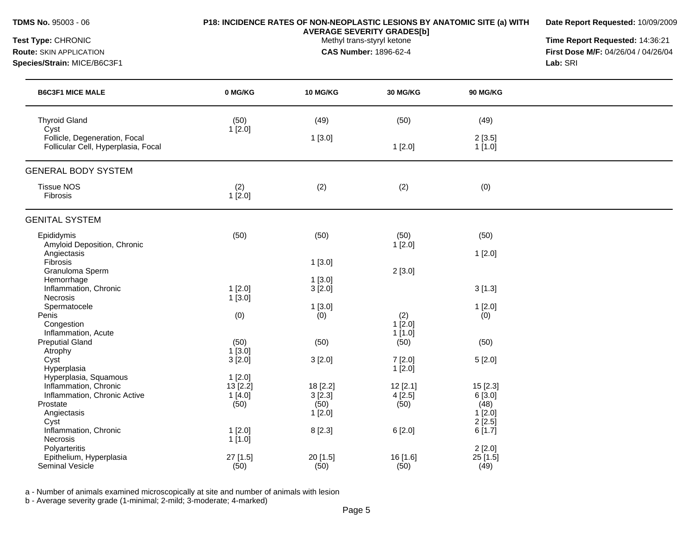**Date Report Requested:** 10/09/2009

**AVERAGE SEVERITY GRADES[b]**

**Test Type:** CHRONIC **The Report Requested:** 14:36:21 **Route:** SKIN APPLICATION **CAS Number:** 1896-62-4 **First Dose M/F:** 04/26/04 / 04/26/04 **Species/Strain:** MICE/B6C3F1 **Lab:** SRI

| <b>B6C3F1 MICE MALE</b>                                                                                           | 0 MG/KG                              | <b>10 MG/KG</b>                      | <b>30 MG/KG</b>           | <b>90 MG/KG</b>                                |  |
|-------------------------------------------------------------------------------------------------------------------|--------------------------------------|--------------------------------------|---------------------------|------------------------------------------------|--|
| <b>Thyroid Gland</b><br>Cyst                                                                                      | (50)<br>1[2.0]                       | (49)                                 | (50)                      | (49)                                           |  |
| Follicle, Degeneration, Focal<br>Follicular Cell, Hyperplasia, Focal                                              |                                      | 1[3.0]                               | 1[2.0]                    | 2[3.5]<br>1[1.0]                               |  |
| <b>GENERAL BODY SYSTEM</b>                                                                                        |                                      |                                      |                           |                                                |  |
| <b>Tissue NOS</b><br>Fibrosis                                                                                     | (2)<br>1[2.0]                        | (2)                                  | (2)                       | (0)                                            |  |
| <b>GENITAL SYSTEM</b>                                                                                             |                                      |                                      |                           |                                                |  |
| Epididymis<br>Amyloid Deposition, Chronic                                                                         | (50)                                 | (50)                                 | (50)<br>1[2.0]            | (50)                                           |  |
| Angiectasis<br>Fibrosis                                                                                           |                                      | 1[3.0]                               |                           | 1[2.0]                                         |  |
| Granuloma Sperm<br>Hemorrhage<br>Inflammation, Chronic                                                            | $1$ [2.0]                            | 1[3.0]<br>3[2.0]                     | 2[3.0]                    | 3[1.3]                                         |  |
| Necrosis<br>Spermatocele                                                                                          | 1[3.0]                               | 1[3.0]                               |                           | 1[2.0]                                         |  |
| Penis<br>Congestion                                                                                               | (0)                                  | (0)                                  | (2)<br>$1$ [2.0]          | (0)                                            |  |
| Inflammation, Acute<br><b>Preputial Gland</b><br>Atrophy                                                          | (50)<br>1[3.0]                       | (50)                                 | 1[1.0]<br>(50)            | (50)                                           |  |
| Cyst<br>Hyperplasia                                                                                               | 3[2.0]                               | 3[2.0]                               | 7[2.0]<br>$1$ [2.0]       | 5[2.0]                                         |  |
| Hyperplasia, Squamous<br>Inflammation, Chronic<br>Inflammation, Chronic Active<br>Prostate<br>Angiectasis<br>Cyst | 1[2.0]<br>13 [2.2]<br>1[4.0]<br>(50) | 18 [2.2]<br>3[2.3]<br>(50)<br>1[2.0] | 12[2.1]<br>4[2.5]<br>(50) | 15 [2.3]<br>6[3.0]<br>(48)<br>1[2.0]<br>2[2.5] |  |
| Inflammation, Chronic<br>Necrosis                                                                                 | 1[2.0]<br>1[1.0]                     | 8 [2.3]                              | 6[2.0]                    | 6[1.7]                                         |  |
| Polyarteritis<br>Epithelium, Hyperplasia<br>Seminal Vesicle                                                       | 27 [1.5]<br>(50)                     | 20 [1.5]<br>(50)                     | 16 [1.6]<br>(50)          | 2[2.0]<br>25 [1.5]<br>(49)                     |  |

a - Number of animals examined microscopically at site and number of animals with lesion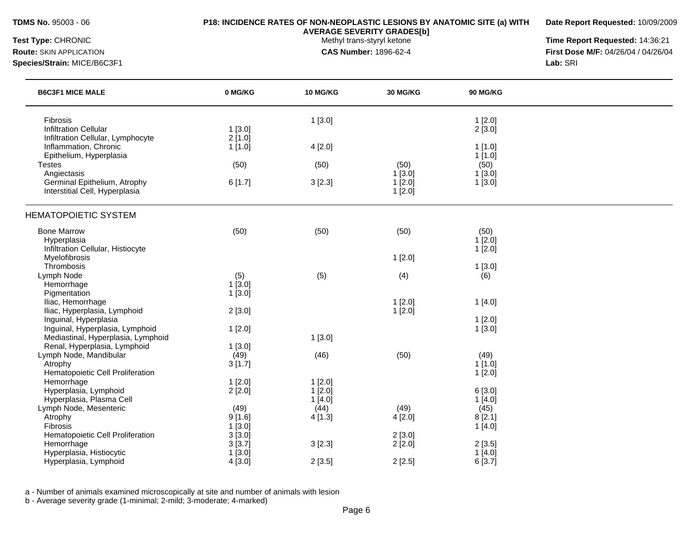**Date Report Requested:** 10/09/2009

**AVERAGE SEVERITY GRADES[b]**

**Test Type:** CHRONIC **The Report Requested:** 14:36:21 **Route:** SKIN APPLICATION **CAS Number:** 1896-62-4 **First Dose M/F:** 04/26/04 / 04/26/04

**Species/Strain:** MICE/B6C3F1 **Lab:** SRI

| <b>B6C3F1 MICE MALE</b>                                                                               | 0 MG/KG                  | 10 MG/KG                   | 30 MG/KG            | 90 MG/KG                    |  |
|-------------------------------------------------------------------------------------------------------|--------------------------|----------------------------|---------------------|-----------------------------|--|
| <b>Fibrosis</b><br><b>Infiltration Cellular</b>                                                       | 1 [3.0]                  | 1[3.0]                     |                     | 1[2.0]<br>2[3.0]            |  |
| Infiltration Cellular, Lymphocyte<br>Inflammation, Chronic<br>Epithelium, Hyperplasia                 | $2$ [1.0]<br>1[1.0]      | 4[2.0]                     |                     | 1[1.0]<br>1[1.0]            |  |
| <b>Testes</b><br>Angiectasis                                                                          | (50)                     | (50)                       | (50)<br>1[3.0]      | (50)<br>1[3.0]              |  |
| Germinal Epithelium, Atrophy<br>Interstitial Cell, Hyperplasia                                        | 6[1.7]                   | 3[2.3]                     | 1[2.0]<br>$1$ [2.0] | 1[3.0]                      |  |
| <b>HEMATOPOIETIC SYSTEM</b>                                                                           |                          |                            |                     |                             |  |
| <b>Bone Marrow</b><br>Hyperplasia<br>Infiltration Cellular, Histiocyte                                | (50)                     | (50)                       | (50)                | (50)<br>$1$ [2.0]<br>1[2.0] |  |
| Myelofibrosis<br>Thrombosis                                                                           |                          |                            | 1[2.0]              |                             |  |
| Lymph Node<br>Hemorrhage<br>Pigmentation                                                              | (5)<br>1[3.0]<br>1[3.0]  | (5)                        | (4)                 | 1[3.0]<br>(6)               |  |
| Iliac, Hemorrhage<br>Iliac, Hyperplasia, Lymphoid                                                     | 2[3.0]                   |                            | 1[2.0]<br>1[2.0]    | 1[4.0]                      |  |
| Inguinal, Hyperplasia<br>Inguinal, Hyperplasia, Lymphoid<br>Mediastinal, Hyperplasia, Lymphoid        | 1[2.0]                   | 1[3.0]                     |                     | 1[2.0]<br>1[3.0]            |  |
| Renal, Hyperplasia, Lymphoid<br>Lymph Node, Mandibular<br>Atrophy<br>Hematopoietic Cell Proliferation | 1[3.0]<br>(49)<br>3[1.7] | (46)                       | (50)                | (49)<br>1[1.0]<br>$1$ [2.0] |  |
| Hemorrhage<br>Hyperplasia, Lymphoid<br>Hyperplasia, Plasma Cell                                       | 1[2.0]<br>2[2.0]         | 1[2.0]<br>1[2.0]<br>1[4.0] |                     | 6[3.0]<br>1[4.0]            |  |
| Lymph Node, Mesenteric<br>Atrophy<br>Fibrosis                                                         | (49)<br>9[1.6]<br>1[3.0] | (44)<br>4 [1.3]            | (49)<br>4[2.0]      | (45)<br>8[2.1]<br>1[4.0]    |  |
| Hematopoietic Cell Proliferation<br>Hemorrhage                                                        | 3[3.0]<br>3[3.7]         | 3[2.3]                     | 2[3.0]<br>2[2.0]    | 2[3.5]                      |  |
| Hyperplasia, Histiocytic<br>Hyperplasia, Lymphoid                                                     | 1[3.0]<br>4[3.0]         | 2[3.5]                     | 2[2.5]              | 1[4.0]<br>6[3.7]            |  |

a - Number of animals examined microscopically at site and number of animals with lesion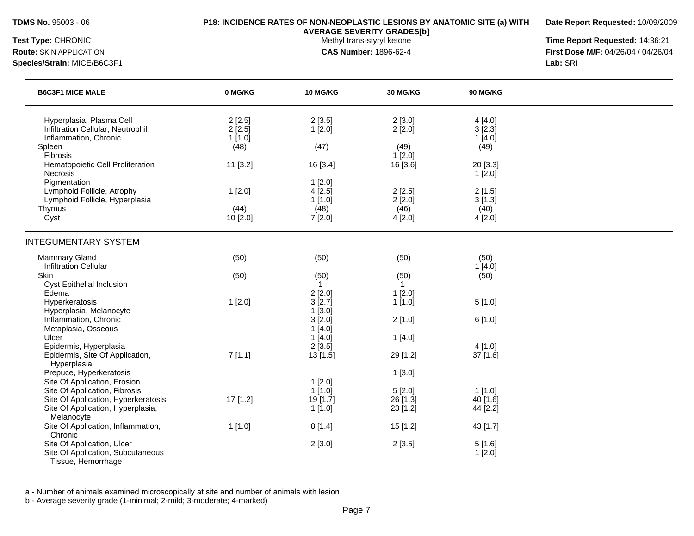**Date Report Requested:** 10/09/2009

**AVERAGE SEVERITY GRADES[b]**

**Test Type:** CHRONIC **The Report Requested:** 14:36:21 **Route:** SKIN APPLICATION **CAS Number:** 1896-62-4 **First Dose M/F:** 04/26/04 / 04/26/04 **Species/Strain:** MICE/B6C3F1 **Lab:** SRI

| <b>B6C3F1 MICE MALE</b>                                    | 0 MG/KG        | <b>10 MG/KG</b>  | <b>30 MG/KG</b> | <b>90 MG/KG</b> |  |
|------------------------------------------------------------|----------------|------------------|-----------------|-----------------|--|
| Hyperplasia, Plasma Cell                                   | 2[2.5]         | 2[3.5]           | 2[3.0]          | 4[4.0]          |  |
| Infiltration Cellular, Neutrophil<br>Inflammation, Chronic | 2[2.5]         | 1[2.0]           | 2[2.0]          | 3[2.3]          |  |
| Spleen                                                     | 1[1.0]<br>(48) | (47)             | (49)            | 1[4.0]<br>(49)  |  |
| Fibrosis                                                   |                |                  | 1[2.0]          |                 |  |
| Hematopoietic Cell Proliferation                           | 11 [3.2]       | 16 [3.4]         | 16 [3.6]        | 20 [3.3]        |  |
| Necrosis                                                   |                |                  |                 | 1[2.0]          |  |
| Pigmentation                                               |                | $1$ [2.0]        |                 |                 |  |
| Lymphoid Follicle, Atrophy                                 | 1[2.0]         | 4[2.5]           | 2[2.5]          | 2[1.5]          |  |
| Lymphoid Follicle, Hyperplasia                             |                | 1[1.0]           | 2[2.0]          | 3[1.3]          |  |
| Thymus                                                     | (44)           | (48)             | (46)            | (40)            |  |
| Cyst                                                       | 10 [2.0]       | 7[2.0]           | 4[2.0]          | 4[2.0]          |  |
| <b>INTEGUMENTARY SYSTEM</b>                                |                |                  |                 |                 |  |
| Mammary Gland                                              | (50)           | (50)             | (50)            | (50)            |  |
| <b>Infiltration Cellular</b>                               |                |                  |                 | 1[4.0]          |  |
| Skin                                                       | (50)           | (50)             | (50)            | (50)            |  |
| <b>Cyst Epithelial Inclusion</b>                           |                | $\mathbf{1}$     | $\mathbf{1}$    |                 |  |
| Edema                                                      |                | 2[2.0]           | 1[2.0]          |                 |  |
| Hyperkeratosis                                             | 1[2.0]         | 3[2.7]           | 1[1.0]          | 5[1.0]          |  |
| Hyperplasia, Melanocyte<br>Inflammation, Chronic           |                | 1[3.0]           |                 |                 |  |
| Metaplasia, Osseous                                        |                | 3[2.0]           | 2[1.0]          | 6[1.0]          |  |
| Ulcer                                                      |                | 1[4.0]<br>1[4.0] | 1[4.0]          |                 |  |
| Epidermis, Hyperplasia                                     |                | 2[3.5]           |                 | 4 [1.0]         |  |
| Epidermis, Site Of Application,                            | 7[1.1]         | 13 [1.5]         | 29 [1.2]        | 37 [1.6]        |  |
| Hyperplasia                                                |                |                  |                 |                 |  |
| Prepuce, Hyperkeratosis                                    |                |                  | 1[3.0]          |                 |  |
| Site Of Application, Erosion                               |                | 1[2.0]           |                 |                 |  |
| Site Of Application, Fibrosis                              |                | 1[1.0]           | 5[2.0]          | 1[1.0]          |  |
| Site Of Application, Hyperkeratosis                        | 17 [1.2]       | 19 [1.7]         | 26 [1.3]        | 40 [1.6]        |  |
| Site Of Application, Hyperplasia,                          |                | 1[1.0]           | 23 [1.2]        | 44 [2.2]        |  |
| Melanocyte                                                 |                |                  |                 |                 |  |
| Site Of Application, Inflammation,                         | 1 [1.0]        | 8[1.4]           | 15 [1.2]        | 43 [1.7]        |  |
| Chronic                                                    |                |                  |                 |                 |  |
| Site Of Application, Ulcer                                 |                | 2[3.0]           | 2[3.5]          | 5[1.6]          |  |
| Site Of Application, Subcutaneous                          |                |                  |                 | 1[2.0]          |  |
| Tissue, Hemorrhage                                         |                |                  |                 |                 |  |

a - Number of animals examined microscopically at site and number of animals with lesion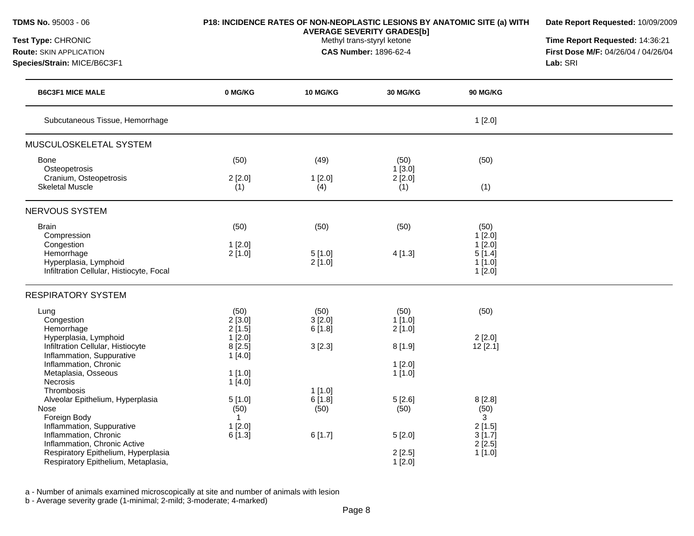| TDMS No. 95003 - 06<br><b>Test Type: CHRONIC</b><br><b>Route: SKIN APPLICATION</b><br>Species/Strain: MICE/B6C3F1                                                                                                                                 | P18: INCIDENCE RATES OF NON-NEOPLASTIC LESIONS BY ANATOMIC SITE (a) WITH      | Date Report Requested: 10/09/2009<br>Time Report Requested: 14:36:21<br>First Dose M/F: 04/26/04 / 04/26/04<br>Lab: SRI |                                                           |                                                                       |  |
|---------------------------------------------------------------------------------------------------------------------------------------------------------------------------------------------------------------------------------------------------|-------------------------------------------------------------------------------|-------------------------------------------------------------------------------------------------------------------------|-----------------------------------------------------------|-----------------------------------------------------------------------|--|
| <b>B6C3F1 MICE MALE</b>                                                                                                                                                                                                                           | 0 MG/KG                                                                       | 10 MG/KG                                                                                                                | <b>30 MG/KG</b>                                           | 90 MG/KG                                                              |  |
| Subcutaneous Tissue, Hemorrhage                                                                                                                                                                                                                   |                                                                               |                                                                                                                         |                                                           | 1[2.0]                                                                |  |
| MUSCULOSKELETAL SYSTEM                                                                                                                                                                                                                            |                                                                               |                                                                                                                         |                                                           |                                                                       |  |
| Bone<br>Osteopetrosis<br>Cranium, Osteopetrosis<br><b>Skeletal Muscle</b>                                                                                                                                                                         | (50)<br>2[2.0]<br>(1)                                                         | (49)<br>1[2.0]<br>(4)                                                                                                   | (50)<br>1 [3.0]<br>$2$ [ $2.0$ ]<br>(1)                   | (50)<br>(1)                                                           |  |
|                                                                                                                                                                                                                                                   |                                                                               |                                                                                                                         |                                                           |                                                                       |  |
| <b>NERVOUS SYSTEM</b><br><b>Brain</b><br>Compression<br>Congestion<br>Hemorrhage<br>Hyperplasia, Lymphoid<br>Infiltration Cellular, Histiocyte, Focal                                                                                             | (50)<br>1[2.0]<br>2[1.0]                                                      | (50)<br>5[1.0]<br>2[1.0]                                                                                                | (50)<br>4[1.3]                                            | (50)<br>1[2.0]<br>$1$ [2.0]<br>5[1.4]<br>$1$ [1.0]<br>$1$ [ $2.0$ ]   |  |
| <b>RESPIRATORY SYSTEM</b>                                                                                                                                                                                                                         |                                                                               |                                                                                                                         |                                                           |                                                                       |  |
| Lung<br>Congestion<br>Hemorrhage<br>Hyperplasia, Lymphoid<br>Infiltration Cellular, Histiocyte<br>Inflammation, Suppurative<br>Inflammation, Chronic<br>Metaplasia, Osseous<br>Necrosis                                                           | (50)<br>2[3.0]<br>2[1.5]<br>1[2.0]<br>8[2.5]<br>1[4.0]<br>$1$ [1.0]<br>1[4.0] | (50)<br>3[2.0]<br>6[1.8]<br>3[2.3]                                                                                      | (50)<br>1[1.0]<br>2[1.0]<br>8[1.9]<br>1[2.0]<br>$1$ [1.0] | (50)<br>2[2.0]<br>12[2.1]                                             |  |
| <b>Thrombosis</b><br>Alveolar Epithelium, Hyperplasia<br>Nose<br>Foreign Body<br>Inflammation, Suppurative<br>Inflammation, Chronic<br>Inflammation, Chronic Active<br>Respiratory Epithelium, Hyperplasia<br>Respiratory Epithelium, Metaplasia, | 5[1.0]<br>(50)<br>$\mathbf{1}$<br>1[2.0]<br>6[1.3]                            | $1$ [1.0]<br>6[1.8]<br>(50)<br>6[1.7]                                                                                   | 5[2.6]<br>(50)<br>5[2.0]<br>2[2.5]<br>1[2.0]              | 8[2.8]<br>(50)<br>3<br>2[1.5]<br>3[1.7]<br>$2$ [ $2.5$ ]<br>$1$ [1.0] |  |

a - Number of animals examined microscopically at site and number of animals with lesion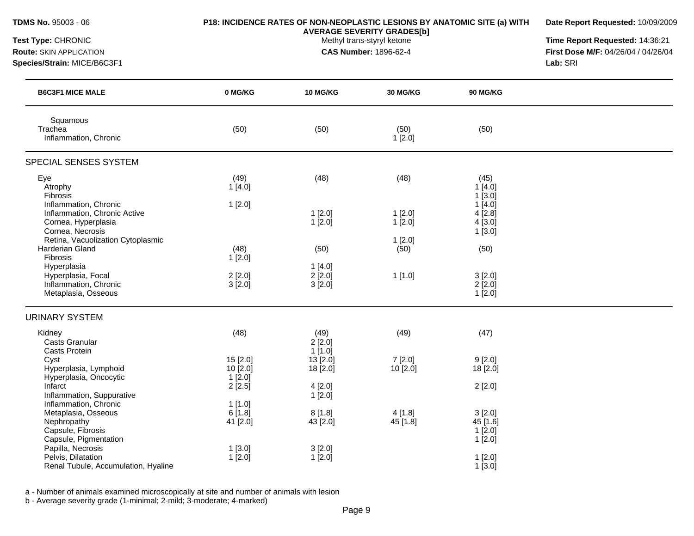| TDMS No. 95003 - 06<br>Test Type: CHRONIC<br><b>Route: SKIN APPLICATION</b><br>Species/Strain: MICE/B6C3F1 | P18: INCIDENCE RATES OF NON-NEOPLASTIC LESIONS BY ANATOMIC SITE (a) WITH | Date Report Requested: 10/09/2009<br>Time Report Requested: 14:36:21<br>First Dose M/F: 04/26/04 / 04/26/04<br>Lab: SRI |                       |                                         |  |
|------------------------------------------------------------------------------------------------------------|--------------------------------------------------------------------------|-------------------------------------------------------------------------------------------------------------------------|-----------------------|-----------------------------------------|--|
| <b>B6C3F1 MICE MALE</b>                                                                                    | 0 MG/KG                                                                  | <b>10 MG/KG</b>                                                                                                         | <b>30 MG/KG</b>       | 90 MG/KG                                |  |
| Squamous<br>Trachea<br>Inflammation, Chronic                                                               | (50)                                                                     | (50)                                                                                                                    | (50)<br>1[2.0]        | (50)                                    |  |
| SPECIAL SENSES SYSTEM                                                                                      |                                                                          |                                                                                                                         |                       |                                         |  |
| Eye<br>Atrophy<br>Fibrosis                                                                                 | (49)<br>1[4.0]                                                           | (48)                                                                                                                    | (48)                  | (45)<br>1[4.0]<br>$1$ [3.0]             |  |
| Inflammation, Chronic<br>Inflammation, Chronic Active<br>Cornea, Hyperplasia<br>Cornea, Necrosis           | 1[2.0]                                                                   | 1[2.0]<br>1[2.0]                                                                                                        | $1$ [2.0]<br>1[2.0]   | 1[4.0]<br>$4$ [2.8]<br>4[3.0]<br>1[3.0] |  |
| Retina, Vacuolization Cytoplasmic<br>Harderian Gland<br>Fibrosis                                           | (48)<br>1[2.0]                                                           | (50)                                                                                                                    | 1[2.0]<br>(50)        | (50)                                    |  |
| Hyperplasia<br>Hyperplasia, Focal<br>Inflammation, Chronic<br>Metaplasia, Osseous                          | 2[2.0]<br>$3$ [ $2.0$ ]                                                  | 1[4.0]<br>2[2.0]<br>3[2.0]                                                                                              | 1[1.0]                | 3[2.0]<br>$2$ [ $2.0$ ]<br>1[2.0]       |  |
| <b>URINARY SYSTEM</b>                                                                                      |                                                                          |                                                                                                                         |                       |                                         |  |
| Kidney<br><b>Casts Granular</b><br>Casts Protein                                                           | (48)                                                                     | (49)<br>2[2.0]<br>1[1.0]                                                                                                | (49)                  | (47)                                    |  |
| Cyst<br>Hyperplasia, Lymphoid<br>Hyperplasia, Oncocytic                                                    | 15 [2.0]<br>10[2.0]<br>$1$ [2.0]                                         | 13 [2.0]<br>18 [2.0]                                                                                                    | 7 [2.0]<br>$10$ [2.0] | 9[2.0]<br>18 [2.0]                      |  |
| Infarct<br>Inflammation, Suppurative<br>Inflammation, Chronic                                              | 2[2.5]<br>1[1.0]                                                         | 4[2.0]<br>1[2.0]                                                                                                        |                       | 2[2.0]                                  |  |
| Metaplasia, Osseous<br>Nephropathy<br>Capsule, Fibrosis<br>Capsule, Pigmentation                           | 6[1.8]<br>41 [2.0]                                                       | 8[1.8]<br>43 [2.0]                                                                                                      | 4 [1.8]<br>45 [1.8]   | 3[2.0]<br>45 [1.6]<br>1[2.0]<br>1[2.0]  |  |
| Papilla, Necrosis<br>Pelvis, Dilatation<br>Renal Tubule, Accumulation, Hyaline                             | 1[3.0]<br>1[2.0]                                                         | 3[2.0]<br>1[2.0]                                                                                                        |                       | $1$ [2.0]<br>$1$ [3.0]                  |  |

a - Number of animals examined microscopically at site and number of animals with lesion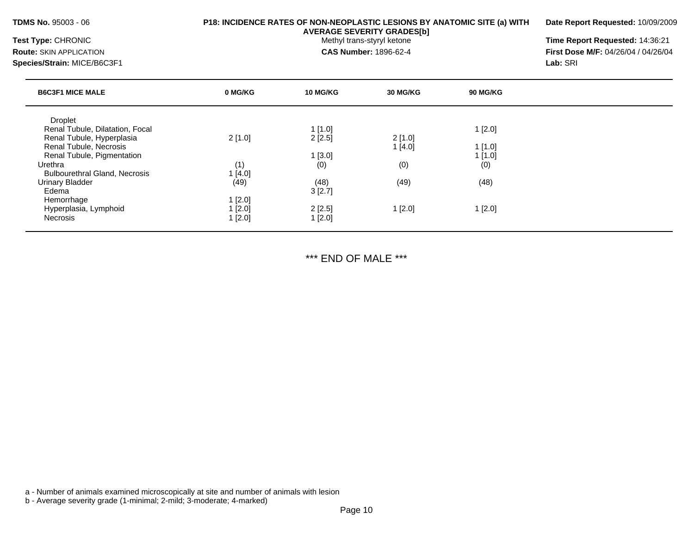**Date Report Requested:** 10/09/2009

**AVERAGE SEVERITY GRADES[b]**

**Test Type:** CHRONIC **The Report Requested:** 14:36:21 **Route:** SKIN APPLICATION **CAS Number:** 1896-62-4 **First Dose M/F:** 04/26/04 / 04/26/04

| $T_{MPA}$ $CUDONIO$ |  |  |
|---------------------|--|--|

**Species/Strain:** MICE/B6C3F1 **Lab:** SRI

| <b>B6C3F1 MICE MALE</b>              | 0 MG/KG | <b>10 MG/KG</b> | 30 MG/KG | 90 MG/KG |  |
|--------------------------------------|---------|-----------------|----------|----------|--|
| <b>Droplet</b>                       |         |                 |          |          |  |
| Renal Tubule, Dilatation, Focal      |         | 1[1.0]          |          | 1[2.0]   |  |
| Renal Tubule, Hyperplasia            | 2[1.0]  | 2[2.5]          | 2[1.0]   |          |  |
| Renal Tubule, Necrosis               |         |                 | 1[4.0]   | 1[1.0]   |  |
| Renal Tubule, Pigmentation           |         | 1[3.0]          |          | 1[1.0]   |  |
| Urethra                              | (1)     | (0)             | (0)      | (0)      |  |
| <b>Bulbourethral Gland, Necrosis</b> | 1[4.0]  |                 |          |          |  |
| <b>Urinary Bladder</b>               | (49)    | (48)            | (49)     | (48)     |  |
| Edema                                |         | 3[2.7]          |          |          |  |
| Hemorrhage                           | 1[2.0]  |                 |          |          |  |
| Hyperplasia, Lymphoid                | 1[2.0]  | 2[2.5]          | 1[2.0]   | 1[2.0]   |  |
| Necrosis                             | 1[2.0]  | 1[2.0]          |          |          |  |
|                                      |         |                 |          |          |  |

\*\*\* END OF MALE \*\*\*

a - Number of animals examined microscopically at site and number of animals with lesion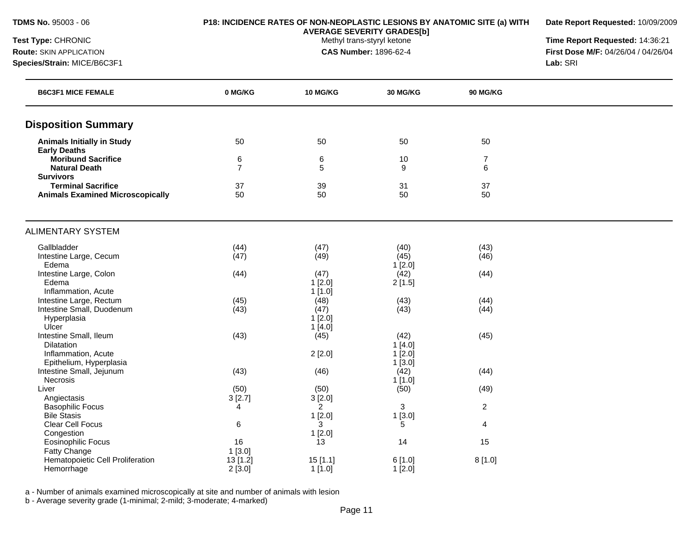**Date Report Requested:** 10/09/2009

**AVERAGE SEVERITY GRADES[b]**

**Test Type:** CHRONIC **The Report Requested:** 14:36:21 **Route:** SKIN APPLICATION **CAS Number:** 1896-62-4 **First Dose M/F:** 04/26/04 / 04/26/04 **Species/Strain:** MICE/B6C3F1 **Lab:** SRI

| <b>B6C3F1 MICE FEMALE</b>                | 0 MG/KG        | 10 MG/KG       | 30 MG/KG  | <b>90 MG/KG</b> |  |
|------------------------------------------|----------------|----------------|-----------|-----------------|--|
| <b>Disposition Summary</b>               |                |                |           |                 |  |
| <b>Animals Initially in Study</b>        | 50             | 50             | 50        | 50              |  |
| <b>Early Deaths</b>                      |                |                |           |                 |  |
| <b>Moribund Sacrifice</b>                | 6              | 6              | 10        | $\overline{7}$  |  |
| <b>Natural Death</b><br><b>Survivors</b> | $\overline{7}$ | 5              | 9         | 6               |  |
| <b>Terminal Sacrifice</b>                | 37             | 39             | 31        | 37              |  |
| <b>Animals Examined Microscopically</b>  | 50             | 50             | 50        | 50              |  |
|                                          |                |                |           |                 |  |
| <b>ALIMENTARY SYSTEM</b>                 |                |                |           |                 |  |
| Gallbladder                              | (44)           | (47)           | (40)      | (43)            |  |
| Intestine Large, Cecum                   | (47)           | (49)           | (45)      | (46)            |  |
| Edema                                    |                |                | 1[2.0]    |                 |  |
| Intestine Large, Colon                   | (44)           | (47)           | (42)      | (44)            |  |
| Edema                                    |                | 1[2.0]         | 2[1.5]    |                 |  |
| Inflammation, Acute                      |                | 1[1.0]         |           |                 |  |
| Intestine Large, Rectum                  | (45)           | (48)           | (43)      | (44)            |  |
| Intestine Small, Duodenum                | (43)           | (47)           | (43)      | (44)            |  |
| Hyperplasia                              |                | 1[2.0]         |           |                 |  |
| Ulcer                                    |                | 1[4.0]         |           |                 |  |
| Intestine Small, Ileum                   | (43)           | (45)           | (42)      | (45)            |  |
| <b>Dilatation</b>                        |                |                | 1[4.0]    |                 |  |
| Inflammation, Acute                      |                | 2[2.0]         | $1$ [2.0] |                 |  |
| Epithelium, Hyperplasia                  |                |                | 1[3.0]    |                 |  |
| Intestine Small, Jejunum                 | (43)           | (46)           | (42)      | (44)            |  |
| Necrosis                                 |                |                | 1[1.0]    |                 |  |
| Liver                                    | (50)           | (50)           | (50)      | (49)            |  |
| Angiectasis                              | 3[2.7]         | 3[2.0]         |           |                 |  |
| <b>Basophilic Focus</b>                  | $\overline{4}$ | $\overline{2}$ | 3         | $\overline{a}$  |  |
| <b>Bile Stasis</b>                       |                | 1[2.0]         | 1[3.0]    |                 |  |
| Clear Cell Focus                         | 6              | 3              | 5         | 4               |  |
| Congestion                               |                | 1[2.0]         |           |                 |  |
| <b>Eosinophilic Focus</b>                | 16             | 13             | 14        | 15              |  |
| Fatty Change                             | 1[3.0]         |                |           |                 |  |
| Hematopoietic Cell Proliferation         | 13 [1.2]       | 15[1.1]        | 6[1.0]    | 8[1.0]          |  |
| Hemorrhage                               | 2[3.0]         | 1[1.0]         | 1[2.0]    |                 |  |

a - Number of animals examined microscopically at site and number of animals with lesion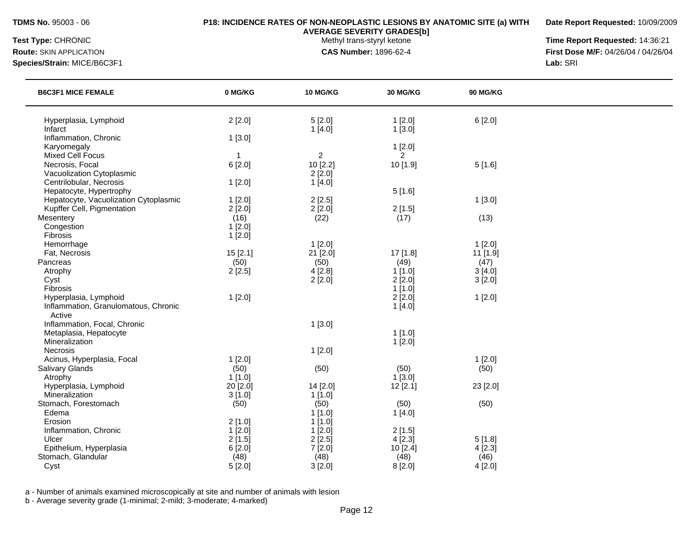**Date Report Requested:** 10/09/2009

**AVERAGE SEVERITY GRADES[b]**

**Test Type:** CHRONIC **The Report Requested:** 14:36:21 **Route:** SKIN APPLICATION **CAS Number:** 1896-62-4 **First Dose M/F:** 04/26/04 / 04/26/04 **Species/Strain:** MICE/B6C3F1 **Lab:** SRI

| <b>B6C3F1 MICE FEMALE</b>             | 0 MG/KG  | <b>10 MG/KG</b>  | <b>30 MG/KG</b>  | <b>90 MG/KG</b> |  |
|---------------------------------------|----------|------------------|------------------|-----------------|--|
| Hyperplasia, Lymphoid<br>Infarct      | 2[2.0]   | 5[2.0]<br>1[4.0] | 1[2.0]<br>1[3.0] | 6[2.0]          |  |
| Inflammation, Chronic                 | 1[3.0]   |                  |                  |                 |  |
| Karyomegaly                           |          |                  | 1[2.0]           |                 |  |
| <b>Mixed Cell Focus</b>               | -1       | $\sqrt{2}$       | $\overline{2}$   |                 |  |
| Necrosis, Focal                       | 6[2.0]   | 10 [2.2]         | 10 [1.9]         | 5[1.6]          |  |
| Vacuolization Cytoplasmic             |          | 2[2.0]           |                  |                 |  |
| Centrilobular, Necrosis               | 1[2.0]   | 1[4.0]           |                  |                 |  |
| Hepatocyte, Hypertrophy               |          |                  | 5[1.6]           |                 |  |
| Hepatocyte, Vacuolization Cytoplasmic | 1[2.0]   | 2[2.5]           |                  | 1[3.0]          |  |
| Kupffer Cell, Pigmentation            | 2[2.0]   | 2[2.0]           | 2[1.5]           |                 |  |
| Mesentery                             | (16)     | (22)             | (17)             | (13)            |  |
| Congestion                            | 1[2.0]   |                  |                  |                 |  |
| Fibrosis                              | 1[2.0]   |                  |                  |                 |  |
| Hemorrhage                            |          | $1$ [2.0]        |                  | $1$ [2.0]       |  |
| Fat, Necrosis                         | 15 [2.1] | 21 [2.0]         | 17 [1.8]         | 11 [1.9]        |  |
| Pancreas                              | (50)     | (50)             | (49)             | (47)            |  |
| Atrophy                               | 2[2.5]   | 4[2.8]           | 1[1.0]           | 3[4.0]          |  |
| Cyst                                  |          | 2[2.0]           | 2[2.0]           | 3[2.0]          |  |
| Fibrosis                              |          |                  | 1[1.0]           |                 |  |
| Hyperplasia, Lymphoid                 | 1[2.0]   |                  | 2[2.0]           | 1[2.0]          |  |
| Inflammation, Granulomatous, Chronic  |          |                  | 1[4.0]           |                 |  |
| Active                                |          |                  |                  |                 |  |
| Inflammation, Focal, Chronic          |          | 1[3.0]           |                  |                 |  |
| Metaplasia, Hepatocyte                |          |                  | $1$ [1.0]        |                 |  |
| Mineralization                        |          |                  | 1[2.0]           |                 |  |
| Necrosis                              |          | 1[2.0]           |                  |                 |  |
| Acinus, Hyperplasia, Focal            | 1[2.0]   |                  |                  | 1[2.0]          |  |
| <b>Salivary Glands</b>                | (50)     | (50)             | (50)             | (50)            |  |
| Atrophy                               | 1[1.0]   |                  | 1[3.0]           |                 |  |
| Hyperplasia, Lymphoid                 | 20 [2.0] | 14 [2.0]         | 12[2.1]          | 23 [2.0]        |  |
| Mineralization                        | 3[1.0]   | 1[1.0]           |                  |                 |  |
| Stomach, Forestomach                  | (50)     | (50)             | (50)             | (50)            |  |
| Edema                                 |          | 1[1.0]           | 1[4.0]           |                 |  |
| Erosion                               | 2[1.0]   | $1$ [1.0]        |                  |                 |  |
| Inflammation, Chronic                 | 1[2.0]   | 1[2.0]           | 2[1.5]           |                 |  |
| Ulcer                                 | 2[1.5]   | 2[2.5]           | 4[2.3]           | 5[1.8]          |  |
| Epithelium, Hyperplasia               | 6[2.0]   | 7[2.0]           | 10 [2.4]         | 4[2.3]          |  |
| Stomach, Glandular                    | (48)     | (48)             | (48)             | (46)            |  |
| Cyst                                  | 5[2.0]   | 3[2.0]           | 8[2.0]           | 4[2.0]          |  |
|                                       |          |                  |                  |                 |  |

a - Number of animals examined microscopically at site and number of animals with lesion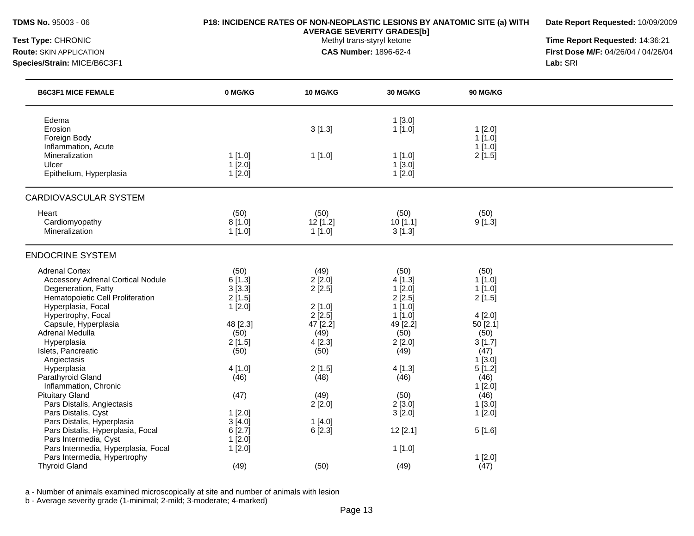**Date Report Requested:** 10/09/2009

**AVERAGE SEVERITY GRADES[b]**

**Test Type:** CHRONIC **The Report Requested:** 14:36:21 **Route:** SKIN APPLICATION **CAS Number:** 1896-62-4 **First Dose M/F:** 04/26/04 / 04/26/04 **Species/Strain:** MICE/B6C3F1 **Lab:** SRI

| <b>B6C3F1 MICE FEMALE</b>                                                                                                                                                                                           | 0 MG/KG                                                          | <b>10 MG/KG</b>                                                  | 30 MG/KG                                                                      | <b>90 MG/KG</b>                                                     |  |
|---------------------------------------------------------------------------------------------------------------------------------------------------------------------------------------------------------------------|------------------------------------------------------------------|------------------------------------------------------------------|-------------------------------------------------------------------------------|---------------------------------------------------------------------|--|
| Edema<br>Erosion<br>Foreign Body<br>Inflammation, Acute                                                                                                                                                             |                                                                  | 3[1.3]                                                           | 1[3.0]<br>1[1.0]                                                              | 1[2.0]<br>1[1.0]<br>1[1.0]                                          |  |
| Mineralization<br>Ulcer<br>Epithelium, Hyperplasia                                                                                                                                                                  | 1[1.0]<br>1[2.0]<br>1[2.0]                                       | 1[1.0]                                                           | 1[1.0]<br>1[3.0]<br>1[2.0]                                                    | 2[1.5]                                                              |  |
| CARDIOVASCULAR SYSTEM                                                                                                                                                                                               |                                                                  |                                                                  |                                                                               |                                                                     |  |
| Heart<br>Cardiomyopathy<br>Mineralization                                                                                                                                                                           | (50)<br>8[1.0]<br>1[1.0]                                         | (50)<br>12 [1.2]<br>1[1.0]                                       | (50)<br>10[1.1]<br>3[1.3]                                                     | (50)<br>9[1.3]                                                      |  |
| <b>ENDOCRINE SYSTEM</b>                                                                                                                                                                                             |                                                                  |                                                                  |                                                                               |                                                                     |  |
| <b>Adrenal Cortex</b><br><b>Accessory Adrenal Cortical Nodule</b><br>Degeneration, Fatty<br>Hematopoietic Cell Proliferation<br>Hyperplasia, Focal<br>Hypertrophy, Focal<br>Capsule, Hyperplasia<br>Adrenal Medulla | (50)<br>6[1.3]<br>3[3.3]<br>2[1.5]<br>1[2.0]<br>48 [2.3]<br>(50) | (49)<br>2[2.0]<br>2[2.5]<br>2[1.0]<br>2[2.5]<br>47 [2.2]<br>(49) | (50)<br>4[1.3]<br>1[2.0]<br>2[2.5]<br>1[1.0]<br>$1$ [1.0]<br>49 [2.2]<br>(50) | (50)<br>1[1.0]<br>$1$ [1.0]<br>2[1.5]<br>4[2.0]<br>50 [2.1]<br>(50) |  |
| Hyperplasia<br>Islets, Pancreatic<br>Angiectasis                                                                                                                                                                    | 2[1.5]<br>(50)                                                   | 4[2.3]<br>(50)                                                   | 2[2.0]<br>(49)                                                                | 3[1.7]<br>(47)<br>1[3.0]                                            |  |
| Hyperplasia<br>Parathyroid Gland<br>Inflammation, Chronic                                                                                                                                                           | 4[1.0]<br>(46)                                                   | 2[1.5]<br>(48)                                                   | 4[1.3]<br>(46)                                                                | 5[1.2]<br>(46)<br>1[2.0]                                            |  |
| <b>Pituitary Gland</b><br>Pars Distalis, Angiectasis<br>Pars Distalis, Cyst                                                                                                                                         | (47)<br>1[2.0]                                                   | (49)<br>2[2.0]                                                   | (50)<br>2[3.0]<br>3[2.0]                                                      | (46)<br>1[3.0]<br>1[2.0]                                            |  |
| Pars Distalis, Hyperplasia<br>Pars Distalis, Hyperplasia, Focal<br>Pars Intermedia, Cyst                                                                                                                            | 3[4.0]<br>6[2.7]<br>1[2.0]                                       | 1[4.0]<br>6[2.3]                                                 | 12[2.1]                                                                       | 5[1.6]                                                              |  |
| Pars Intermedia, Hyperplasia, Focal<br>Pars Intermedia, Hypertrophy<br><b>Thyroid Gland</b>                                                                                                                         | 1[2.0]<br>(49)                                                   | (50)                                                             | 1[1.0]<br>(49)                                                                | 1[2.0]<br>(47)                                                      |  |

a - Number of animals examined microscopically at site and number of animals with lesion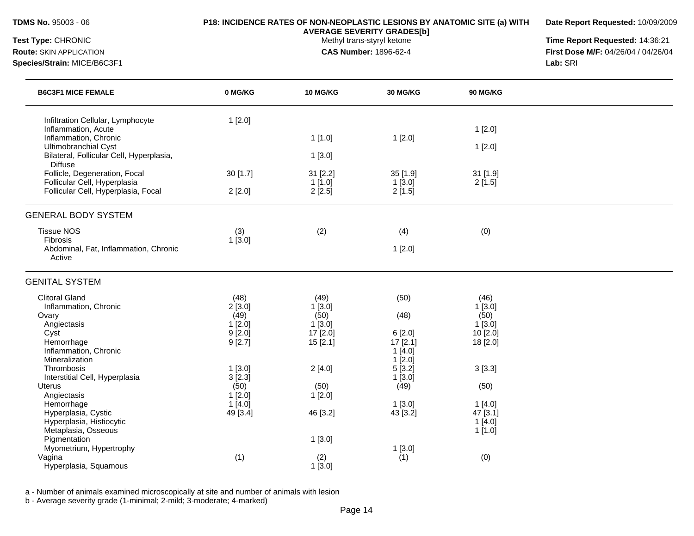**Date Report Requested:** 10/09/2009

**AVERAGE SEVERITY GRADES[b]**

**Test Type:** CHRONIC **The Report Requested:** 14:36:21 **Route:** SKIN APPLICATION **CAS Number:** 1896-62-4 **First Dose M/F:** 04/26/04 / 04/26/04 **Species/Strain:** MICE/B6C3F1 **Lab:** SRI

| <b>B6C3F1 MICE FEMALE</b>                                  | 0 MG/KG   | <b>10 MG/KG</b> | <b>30 MG/KG</b>   | <b>90 MG/KG</b> |  |
|------------------------------------------------------------|-----------|-----------------|-------------------|-----------------|--|
| Infiltration Cellular, Lymphocyte<br>Inflammation, Acute   | 1[2.0]    |                 |                   | 1[2.0]          |  |
| Inflammation, Chronic                                      |           | 1[1.0]          | 1[2.0]            |                 |  |
| Ultimobranchial Cyst                                       |           |                 |                   | 1[2.0]          |  |
| Bilateral, Follicular Cell, Hyperplasia,<br><b>Diffuse</b> |           | 1[3.0]          |                   |                 |  |
| Follicle, Degeneration, Focal                              | 30 [1.7]  | 31 [2.2]        | $35$ [1.9]        | 31 [1.9]        |  |
| Follicular Cell, Hyperplasia                               |           | 1[1.0]          | 1[3.0]            | 2[1.5]          |  |
| Follicular Cell, Hyperplasia, Focal                        | 2[2.0]    | 2[2.5]          | 2[1.5]            |                 |  |
| <b>GENERAL BODY SYSTEM</b>                                 |           |                 |                   |                 |  |
| <b>Tissue NOS</b>                                          | (3)       | (2)             | (4)               | (0)             |  |
| Fibrosis                                                   | 1[3.0]    |                 |                   |                 |  |
| Abdominal, Fat, Inflammation, Chronic<br>Active            |           |                 | 1[2.0]            |                 |  |
| <b>GENITAL SYSTEM</b>                                      |           |                 |                   |                 |  |
| <b>Clitoral Gland</b>                                      | (48)      | (49)            | (50)              | (46)            |  |
| Inflammation, Chronic                                      | 2[3.0]    | 1[3.0]          |                   | 1[3.0]          |  |
| Ovary                                                      | (49)      | (50)            | (48)              | (50)            |  |
| Angiectasis                                                | 1[2.0]    | 1[3.0]          |                   | 1[3.0]          |  |
| Cyst                                                       | $9$ [2.0] | 17 [2.0]        | 6[2.0]            | 10 [2.0]        |  |
| Hemorrhage<br>Inflammation, Chronic                        | 9[2.7]    | 15[2.1]         | 17[2.1]<br>1[4.0] | 18 [2.0]        |  |
| Mineralization                                             |           |                 | $1$ [2.0]         |                 |  |
| Thrombosis                                                 | 1[3.0]    | 2[4.0]          | 5[3.2]            | 3[3.3]          |  |
| Interstitial Cell, Hyperplasia                             | 3[2.3]    |                 | $1$ [3.0]         |                 |  |
| <b>Uterus</b>                                              | (50)      | (50)            | (49)              | (50)            |  |
| Angiectasis                                                | 1[2.0]    | 1[2.0]          |                   |                 |  |
| Hemorrhage                                                 | 1[4.0]    |                 | 1[3.0]            | 1[4.0]          |  |
| Hyperplasia, Cystic                                        | 49 [3.4]  | 46 [3.2]        | 43 [3.2]          | 47 [3.1]        |  |
| Hyperplasia, Histiocytic                                   |           |                 |                   | 1[4.0]          |  |
| Metaplasia, Osseous                                        |           |                 |                   | 1[1.0]          |  |
| Pigmentation                                               |           | 1[3.0]          |                   |                 |  |
| Myometrium, Hypertrophy                                    |           |                 | 1[3.0]            |                 |  |
| Vagina                                                     | (1)       | (2)             | (1)               | (0)             |  |
| Hyperplasia, Squamous                                      |           | 1[3.0]          |                   |                 |  |

a - Number of animals examined microscopically at site and number of animals with lesion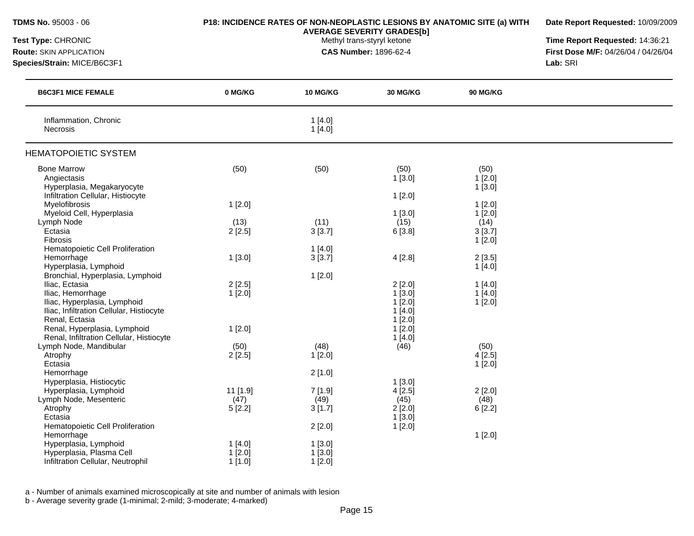| <b>TDMS No. 95003 - 06</b>                                                                                                                                            |                            |                                                            | <b>AVERAGE SEVERITY GRADES[b]</b>                                                  | P18: INCIDENCE RATES OF NON-NEOPLASTIC LESIONS BY ANATOMIC SITE (a) WITH | Date Report Requested: 10/09/2009 |
|-----------------------------------------------------------------------------------------------------------------------------------------------------------------------|----------------------------|------------------------------------------------------------|------------------------------------------------------------------------------------|--------------------------------------------------------------------------|-----------------------------------|
| Test Type: CHRONIC<br><b>Route: SKIN APPLICATION</b><br>Species/Strain: MICE/B6C3F1                                                                                   |                            | Methyl trans-styryl ketone<br><b>CAS Number: 1896-62-4</b> | Time Report Requested: 14:36:21<br>First Dose M/F: 04/26/04 / 04/26/04<br>Lab: SRI |                                                                          |                                   |
| <b>B6C3F1 MICE FEMALE</b>                                                                                                                                             | 0 MG/KG                    | 10 MG/KG                                                   | 30 MG/KG                                                                           | <b>90 MG/KG</b>                                                          |                                   |
| Inflammation, Chronic<br><b>Necrosis</b>                                                                                                                              |                            | 1[4.0]<br>1[4.0]                                           |                                                                                    |                                                                          |                                   |
| <b>HEMATOPOIETIC SYSTEM</b>                                                                                                                                           |                            |                                                            |                                                                                    |                                                                          |                                   |
| <b>Bone Marrow</b><br>Angiectasis<br>Hyperplasia, Megakaryocyte<br>Infiltration Cellular, Histiocyte                                                                  | (50)                       | (50)                                                       | (50)<br>$1$ [3.0]                                                                  | (50)<br>$1$ [2.0]<br>1[3.0]                                              |                                   |
| Myelofibrosis<br>Myeloid Cell, Hyperplasia                                                                                                                            | 1[2.0]                     |                                                            | 1[2.0]<br>$1$ [3.0]                                                                | 1[2.0]<br>$1$ [2.0]                                                      |                                   |
| Lymph Node<br>Ectasia<br>Fibrosis                                                                                                                                     | (13)<br>2[2.5]             | (11)<br>3[3.7]                                             | (15)<br>6[3.8]                                                                     | (14)<br>3[3.7]<br>1[2.0]                                                 |                                   |
| Hematopoietic Cell Proliferation<br>Hemorrhage<br>Hyperplasia, Lymphoid                                                                                               | 1[3.0]                     | 1[4.0]<br>3[3.7]                                           | 4[2.8]                                                                             | 2[3.5]<br>1[4.0]                                                         |                                   |
| Bronchial, Hyperplasia, Lymphoid<br>Iliac, Ectasia<br>Iliac, Hemorrhage<br>Iliac, Hyperplasia, Lymphoid<br>Iliac, Infiltration Cellular, Histiocyte<br>Renal, Ectasia | 2[2.5]<br>1[2.0]           | 1[2.0]                                                     | 2[2.0]<br>1[3.0]<br>$1$ [2.0]<br>1[4.0]<br>$1$ [2.0]                               | 1[4.0]<br>1[4.0]<br>$1$ [2.0]                                            |                                   |
| Renal, Hyperplasia, Lymphoid<br>Renal, Infiltration Cellular, Histiocyte<br>Lymph Node, Mandibular                                                                    | 1[2.0]<br>(50)             | (48)                                                       | $1$ [2.0]<br>1[4.0]<br>(46)                                                        | (50)                                                                     |                                   |
| Atrophy<br>Ectasia<br>Hemorrhage                                                                                                                                      | 2[2.5]                     | 1[2.0]<br>2[1.0]                                           |                                                                                    | 4[2.5]<br>1[2.0]                                                         |                                   |
| Hyperplasia, Histiocytic<br>Hyperplasia, Lymphoid<br>Lymph Node, Mesenteric<br>Atrophy<br>Ectasia                                                                     | 11 [1.9]<br>(47)<br>5[2.2] | 7[1.9]<br>(49)<br>3[1.7]                                   | $1$ [3.0]<br>4[2.5]<br>(45)<br>2[2.0]<br>1[3.0]                                    | 2[2.0]<br>(48)<br>6[2.2]                                                 |                                   |
| Hematopoietic Cell Proliferation<br>Hemorrhage<br>Hyperplasia, Lymphoid<br>Hyperplasia, Plasma Cell<br>Infiltration Cellular, Neutrophil                              | 1[4.0]<br>1[2.0]<br>1[1.0] | 2[2.0]<br>1[3.0]<br>$1$ [3.0]<br>1[2.0]                    | 1[2.0]                                                                             | 1[2.0]                                                                   |                                   |

a - Number of animals examined microscopically at site and number of animals with lesion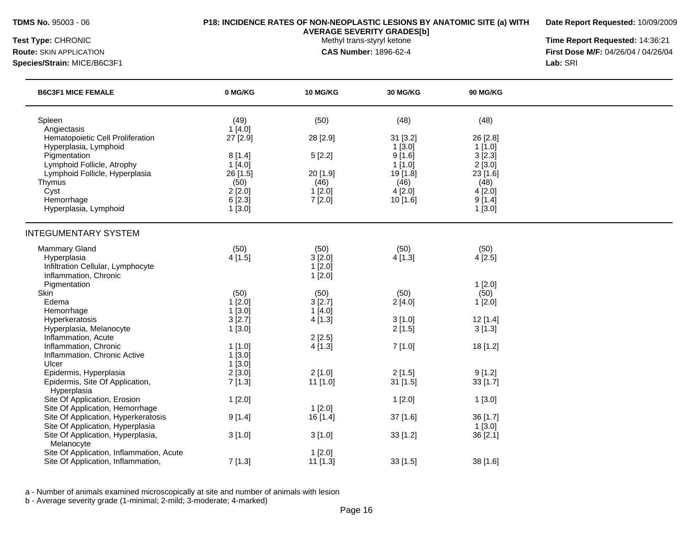**Date Report Requested:** 10/09/2009

**AVERAGE SEVERITY GRADES[b]**

**Test Type:** CHRONIC **The Report Requested:** 14:36:21 **Route:** SKIN APPLICATION **CAS Number:** 1896-62-4 **First Dose M/F:** 04/26/04 / 04/26/04 **Species/Strain:** MICE/B6C3F1 **Lab:** SRI

| (50)<br>(48)<br>(48)<br>Spleen<br>(49)<br>1[4.0]<br>Angiectasis<br>Hematopoietic Cell Proliferation<br>27 [2.9]<br>28 [2.9]<br>31 [3.2]<br>26 [2.8]<br>$1$ [3.0]<br>$1$ [1.0]<br>Hyperplasia, Lymphoid<br>3[2.3]<br>8[1.4]<br>5[2.2]<br>9[1.6]<br>Pigmentation<br>2[3.0]<br>Lymphoid Follicle, Atrophy<br>1[4.0]<br>$1$ [1.0]<br>Lymphoid Follicle, Hyperplasia<br>26 [1.5]<br>20 [1.9]<br>23 [1.6]<br>19 [1.8]<br>(50)<br>(46)<br>(46)<br>(48)<br>Thymus<br>Cyst<br>2[2.0]<br>1[2.0]<br>4[2.0]<br>4[2.0] | <b>B6C3F1 MICE FEMALE</b> |
|-----------------------------------------------------------------------------------------------------------------------------------------------------------------------------------------------------------------------------------------------------------------------------------------------------------------------------------------------------------------------------------------------------------------------------------------------------------------------------------------------------------|---------------------------|
|                                                                                                                                                                                                                                                                                                                                                                                                                                                                                                           |                           |
|                                                                                                                                                                                                                                                                                                                                                                                                                                                                                                           |                           |
|                                                                                                                                                                                                                                                                                                                                                                                                                                                                                                           |                           |
|                                                                                                                                                                                                                                                                                                                                                                                                                                                                                                           |                           |
|                                                                                                                                                                                                                                                                                                                                                                                                                                                                                                           |                           |
|                                                                                                                                                                                                                                                                                                                                                                                                                                                                                                           |                           |
|                                                                                                                                                                                                                                                                                                                                                                                                                                                                                                           |                           |
|                                                                                                                                                                                                                                                                                                                                                                                                                                                                                                           |                           |
| Hemorrhage<br>6[2.3]<br>7[2.0]<br>$10$ [1.6]<br>9[1.4]                                                                                                                                                                                                                                                                                                                                                                                                                                                    |                           |
| $1$ [3.0]<br>Hyperplasia, Lymphoid<br>1[3.0]                                                                                                                                                                                                                                                                                                                                                                                                                                                              |                           |
|                                                                                                                                                                                                                                                                                                                                                                                                                                                                                                           |                           |
| <b>INTEGUMENTARY SYSTEM</b>                                                                                                                                                                                                                                                                                                                                                                                                                                                                               |                           |
| (50)<br>Mammary Gland<br>(50)<br>(50)<br>(50)                                                                                                                                                                                                                                                                                                                                                                                                                                                             |                           |
| Hyperplasia<br>4[1.5]<br>3[2.0]<br>4[1.3]<br>4[2.5]                                                                                                                                                                                                                                                                                                                                                                                                                                                       |                           |
| Infiltration Cellular, Lymphocyte<br>1[2.0]                                                                                                                                                                                                                                                                                                                                                                                                                                                               |                           |
| Inflammation, Chronic<br>1[2.0]                                                                                                                                                                                                                                                                                                                                                                                                                                                                           |                           |
| Pigmentation<br>1[2.0]                                                                                                                                                                                                                                                                                                                                                                                                                                                                                    |                           |
| Skin<br>(50)<br>(50)<br>(50)<br>(50)                                                                                                                                                                                                                                                                                                                                                                                                                                                                      |                           |
| Edema<br>1[2.0]<br>3[2.7]<br>2[4.0]<br>1[2.0]                                                                                                                                                                                                                                                                                                                                                                                                                                                             |                           |
| 1[3.0]<br>1[4.0]<br>Hemorrhage                                                                                                                                                                                                                                                                                                                                                                                                                                                                            |                           |
| 3[2.7]<br>Hyperkeratosis<br>4[1.3]<br>3[1.0]<br>12 [1.4]                                                                                                                                                                                                                                                                                                                                                                                                                                                  |                           |
| Hyperplasia, Melanocyte<br>1[3.0]<br>2[1.5]<br>3[1.3]                                                                                                                                                                                                                                                                                                                                                                                                                                                     |                           |
| Inflammation, Acute<br>2[2.5]                                                                                                                                                                                                                                                                                                                                                                                                                                                                             |                           |
| Inflammation, Chronic<br>7[1.0]<br>18 [1.2]<br>$1$ [1.0]<br>4[1.3]                                                                                                                                                                                                                                                                                                                                                                                                                                        |                           |
| 1[3.0]<br>Inflammation, Chronic Active                                                                                                                                                                                                                                                                                                                                                                                                                                                                    |                           |
| $1$ [3.0]<br>Ulcer                                                                                                                                                                                                                                                                                                                                                                                                                                                                                        |                           |
| Epidermis, Hyperplasia<br>2[3.0]<br>2[1.0]<br>9[1.2]<br>2[1.5]                                                                                                                                                                                                                                                                                                                                                                                                                                            |                           |
| 7[1.3]<br>11 [1.0]<br>31 [1.5]<br>33 [1.7]<br>Epidermis, Site Of Application,                                                                                                                                                                                                                                                                                                                                                                                                                             |                           |
| Hyperplasia                                                                                                                                                                                                                                                                                                                                                                                                                                                                                               |                           |
| Site Of Application, Erosion<br>1[2.0]<br>1[2.0]<br>1[3.0]                                                                                                                                                                                                                                                                                                                                                                                                                                                |                           |
| 1[2.0]<br>Site Of Application, Hemorrhage                                                                                                                                                                                                                                                                                                                                                                                                                                                                 |                           |
| Site Of Application, Hyperkeratosis<br>9[1.4]<br>37 [1.6]<br>16 [1.4]<br>36 [1.7]                                                                                                                                                                                                                                                                                                                                                                                                                         |                           |
| Site Of Application, Hyperplasia<br>1[3.0]                                                                                                                                                                                                                                                                                                                                                                                                                                                                |                           |
| Site Of Application, Hyperplasia,<br>36 [2.1]<br>3[1.0]<br>3[1.0]<br>$33$ [1.2]<br>Melanocyte                                                                                                                                                                                                                                                                                                                                                                                                             |                           |
| Site Of Application, Inflammation, Acute<br>1[2.0]                                                                                                                                                                                                                                                                                                                                                                                                                                                        |                           |
| Site Of Application, Inflammation,<br>7[1.3]<br>$11$ [1.3]<br>33[1.5]<br>38 [1.6]                                                                                                                                                                                                                                                                                                                                                                                                                         |                           |

a - Number of animals examined microscopically at site and number of animals with lesion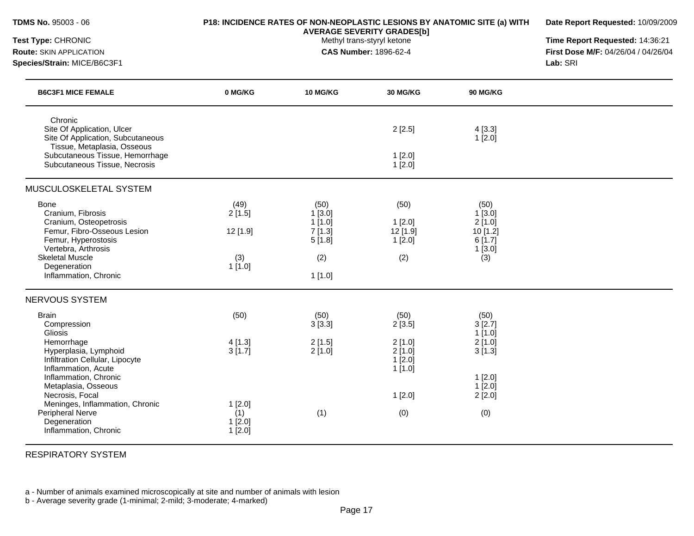| <b>TDMS No. 95003 - 06</b>                                                                                                                                 | P18: INCIDENCE RATES OF NON-NEOPLASTIC LESIONS BY ANATOMIC SITE (a) WITH | Date Report Requested: 10/09/2009                                                  |                                             |                                                                    |  |
|------------------------------------------------------------------------------------------------------------------------------------------------------------|--------------------------------------------------------------------------|------------------------------------------------------------------------------------|---------------------------------------------|--------------------------------------------------------------------|--|
| Test Type: CHRONIC<br><b>Route: SKIN APPLICATION</b><br>Species/Strain: MICE/B6C3F1                                                                        |                                                                          | Time Report Requested: 14:36:21<br>First Dose M/F: 04/26/04 / 04/26/04<br>Lab: SRI |                                             |                                                                    |  |
| <b>B6C3F1 MICE FEMALE</b>                                                                                                                                  | 0 MG/KG                                                                  | 10 MG/KG                                                                           | 30 MG/KG                                    | <b>90 MG/KG</b>                                                    |  |
| Chronic<br>Site Of Application, Ulcer<br>Site Of Application, Subcutaneous<br>Tissue, Metaplasia, Osseous                                                  |                                                                          |                                                                                    | 2[2.5]                                      | 4[3.3]<br>1[2.0]                                                   |  |
| Subcutaneous Tissue, Hemorrhage<br>Subcutaneous Tissue, Necrosis                                                                                           |                                                                          |                                                                                    | $1$ [2.0]<br>1[2.0]                         |                                                                    |  |
| MUSCULOSKELETAL SYSTEM                                                                                                                                     |                                                                          |                                                                                    |                                             |                                                                    |  |
| Bone<br>Cranium, Fibrosis<br>Cranium, Osteopetrosis<br>Femur, Fibro-Osseous Lesion<br>Femur, Hyperostosis<br>Vertebra, Arthrosis<br><b>Skeletal Muscle</b> | (49)<br>2[1.5]<br>12 [1.9]<br>(3)                                        | (50)<br>1 [3.0]<br>1[1.0]<br>7[1.3]<br>5[1.8]<br>(2)                               | (50)<br>1[2.0]<br>12 [1.9]<br>1[2.0]<br>(2) | (50)<br>$1$ [3.0]<br>2[1.0]<br>10 [1.2]<br>6[1.7]<br>1[3.0]<br>(3) |  |
| Degeneration<br>Inflammation, Chronic                                                                                                                      | 1[1.0]                                                                   | 1[1.0]                                                                             |                                             |                                                                    |  |
| NERVOUS SYSTEM                                                                                                                                             |                                                                          |                                                                                    |                                             |                                                                    |  |
| <b>Brain</b><br>Compression<br>Gliosis                                                                                                                     | (50)                                                                     | (50)<br>3[3.3]                                                                     | (50)<br>2[3.5]                              | (50)<br>3[2.7]<br>1[1.0]                                           |  |
| Hemorrhage<br>Hyperplasia, Lymphoid<br>Infiltration Cellular, Lipocyte<br>Inflammation, Acute                                                              | 4 [1.3]<br>3[1.7]                                                        | 2[1.5]<br>2[1.0]                                                                   | 2[1.0]<br>2[1.0]<br>1[2.0]<br>$1$ [1.0]     | $2$ [1.0]<br>3[1.3]                                                |  |
| Inflammation, Chronic<br>Metaplasia, Osseous<br>Necrosis, Focal<br>Meninges, Inflammation, Chronic                                                         | 1[2.0]                                                                   |                                                                                    | 1[2.0]                                      | 1[2.0]<br>$1$ [2.0]<br>2[2.0]                                      |  |
| Peripheral Nerve<br>Degeneration<br>Inflammation, Chronic                                                                                                  | (1)<br>1[2.0]<br>$1$ [2.0]                                               | (1)                                                                                | (0)                                         | (0)                                                                |  |

RESPIRATORY SYSTEM

a - Number of animals examined microscopically at site and number of animals with lesion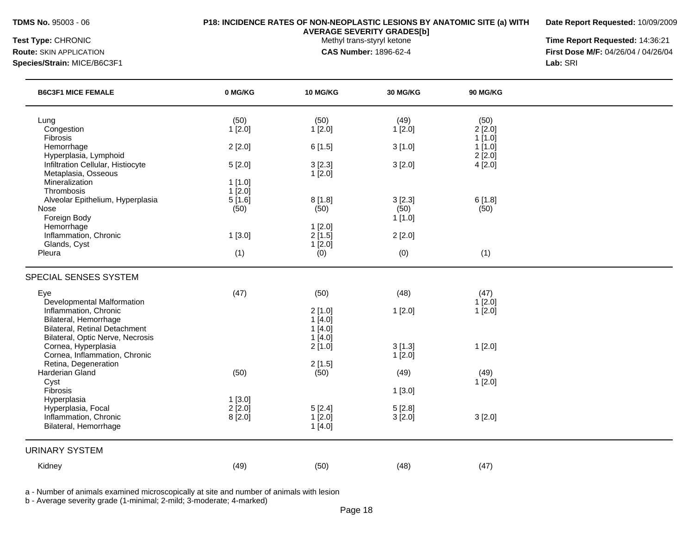**Date Report Requested:** 10/09/2009

**AVERAGE SEVERITY GRADES[b]**

**Test Type:** CHRONIC **The Report Requested:** 14:36:21 **Route:** SKIN APPLICATION **CAS Number:** 1896-62-4 **First Dose M/F:** 04/26/04 / 04/26/04 **Species/Strain:** MICE/B6C3F1 **Lab:** SRI

| <b>B6C3F1 MICE FEMALE</b>                                                | 0 MG/KG   | <b>10 MG/KG</b>  | 30 MG/KG | <b>90 MG/KG</b>  |  |
|--------------------------------------------------------------------------|-----------|------------------|----------|------------------|--|
| Lung                                                                     | (50)      | (50)             | (49)     | (50)             |  |
| Congestion                                                               | 1[2.0]    | 1[2.0]           | 1[2.0]   | 2[2.0]           |  |
| Fibrosis                                                                 |           |                  |          | 1[1.0]           |  |
| Hemorrhage<br>Hyperplasia, Lymphoid                                      | 2[2.0]    | 6[1.5]           | 3[1.0]   | 1[1.0]<br>2[2.0] |  |
| Infiltration Cellular, Histiocyte                                        | 5[2.0]    | 3[2.3]           | 3[2.0]   | 4[2.0]           |  |
| Metaplasia, Osseous                                                      |           | 1[2.0]           |          |                  |  |
| Mineralization                                                           | 1[1.0]    |                  |          |                  |  |
| Thrombosis                                                               | $1$ [2.0] |                  |          |                  |  |
| Alveolar Epithelium, Hyperplasia                                         | 5[1.6]    | 8[1.8]           | 3[2.3]   | 6[1.8]           |  |
| Nose                                                                     | (50)      | (50)             | (50)     | (50)             |  |
| Foreign Body                                                             |           |                  | 1[1.0]   |                  |  |
| Hemorrhage<br>Inflammation, Chronic                                      | 1[3.0]    | 1[2.0]<br>2[1.5] | 2[2.0]   |                  |  |
| Glands, Cyst                                                             |           | 1[2.0]           |          |                  |  |
| Pleura                                                                   | (1)       | (0)              | (0)      | (1)              |  |
|                                                                          |           |                  |          |                  |  |
| SPECIAL SENSES SYSTEM                                                    |           |                  |          |                  |  |
| Eye                                                                      | (47)      | (50)             | (48)     | (47)             |  |
| <b>Developmental Malformation</b>                                        |           |                  |          | 1[2.0]           |  |
| Inflammation, Chronic                                                    |           | 2[1.0]           | 1[2.0]   | 1[2.0]           |  |
| Bilateral, Hemorrhage                                                    |           | 1[4.0]           |          |                  |  |
| <b>Bilateral, Retinal Detachment</b><br>Bilateral, Optic Nerve, Necrosis |           | 1[4.0]           |          |                  |  |
| Cornea, Hyperplasia                                                      |           | 1[4.0]<br>2[1.0] | 3[1.3]   | 1[2.0]           |  |
| Cornea, Inflammation, Chronic                                            |           |                  | 1[2.0]   |                  |  |
| Retina, Degeneration                                                     |           | 2[1.5]           |          |                  |  |
| Harderian Gland                                                          | (50)      | (50)             | (49)     | (49)             |  |
| Cyst                                                                     |           |                  |          | 1[2.0]           |  |
| Fibrosis                                                                 |           |                  | 1[3.0]   |                  |  |
| Hyperplasia                                                              | 1[3.0]    |                  |          |                  |  |
| Hyperplasia, Focal                                                       | 2[2.0]    | 5[2.4]           | 5[2.8]   |                  |  |
| Inflammation, Chronic<br>Bilateral, Hemorrhage                           | 8[2.0]    | 1[2.0]           | 3[2.0]   | 3[2.0]           |  |
|                                                                          |           | 1[4.0]           |          |                  |  |
| <b>URINARY SYSTEM</b>                                                    |           |                  |          |                  |  |
| Kidney                                                                   | (49)      | (50)             | (48)     | (47)             |  |

a - Number of animals examined microscopically at site and number of animals with lesion